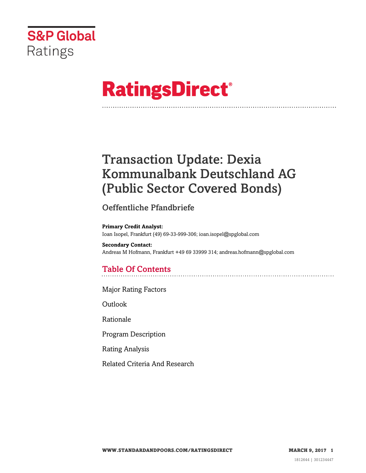

# **RatingsDirect®**

## Transaction Update: Dexia Kommunalbank Deutschland AG (Public Sector Covered Bonds)

## Oeffentliche Pfandbriefe

**Primary Credit Analyst:** Ioan Isopel, Frankfurt (49) 69-33-999-306; ioan.isopel@spglobal.com

**Secondary Contact:** Andreas M Hofmann, Frankfurt +49 69 33999 314; andreas.hofmann@spglobal.com

## Table Of Contents

[Major Rating Factors](#page-1-0)

[Outlook](#page-2-0)

[Rationale](#page-2-1)

[Program Description](#page-2-2)

[Rating Analysis](#page-3-0)

[Related Criteria And Research](#page-7-0)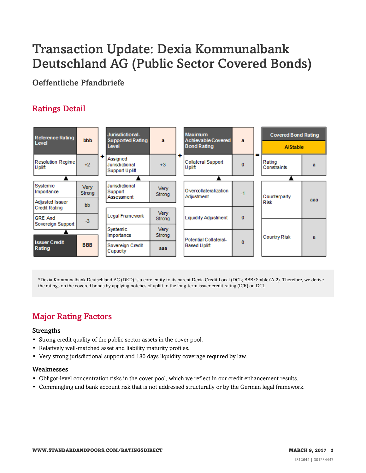## Transaction Update: Dexia Kommunalbank Deutschland AG (Public Sector Covered Bonds)

Oeffentliche Pfandbriefe

## Ratings Detail



\*Dexia Kommunalbank Deutschland AG (DKD) is a core entity to its parent Dexia Credit Local (DCL; BBB/Stable/A-2). Therefore, we derive the ratings on the covered bonds by applying notches of uplift to the long-term issuer credit rating (ICR) on DCL.

## <span id="page-1-0"></span>Major Rating Factors

#### Strengths

- Strong credit quality of the public sector assets in the cover pool.
- Relatively well-matched asset and liability maturity profiles.
- Very strong jurisdictional support and 180 days liquidity coverage required by law.

#### Weaknesses

- Obligor-level concentration risks in the cover pool, which we reflect in our credit enhancement results.
- Commingling and bank account risk that is not addressed structurally or by the German legal framework.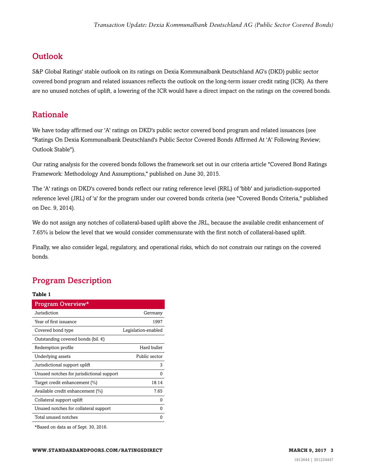## <span id="page-2-0"></span>**Outlook**

S&P Global Ratings' stable outlook on its ratings on Dexia Kommunalbank Deutschland AG's (DKD) public sector covered bond program and related issuances reflects the outlook on the long-term issuer credit rating (ICR). As there are no unused notches of uplift, a lowering of the ICR would have a direct impact on the ratings on the covered bonds.

### <span id="page-2-1"></span>Rationale

We have today affirmed our 'A' ratings on DKD's public sector covered bond program and related issuances (see "Ratings On Dexia Kommunalbank Deutschland's Public Sector Covered Bonds Affirmed At 'A' Following Review; Outlook Stable").

Our rating analysis for the covered bonds follows the framework set out in our criteria article "Covered Bond Ratings Framework: Methodology And Assumptions," published on June 30, 2015.

The 'A' ratings on DKD's covered bonds reflect our rating reference level (RRL) of 'bbb' and jurisdiction-supported reference level (JRL) of 'a' for the program under our covered bonds criteria (see "Covered Bonds Criteria," published on Dec. 9, 2014).

We do not assign any notches of collateral-based uplift above the JRL, because the available credit enhancement of 7.65% is below the level that we would consider commensurate with the first notch of collateral-based uplift.

Finally, we also consider legal, regulatory, and operational risks, which do not constrain our ratings on the covered bonds.

## <span id="page-2-2"></span>Program Description

#### **Table 1**

| Program Overview*                            |                     |
|----------------------------------------------|---------------------|
| Jurisdiction                                 | Germany             |
| Year of first issuance                       | 1997                |
| Covered bond type                            | Legislation-enabled |
| Outstanding covered bonds (bil. $\epsilon$ ) |                     |
| Redemption profile                           | Hard bullet         |
| Underlying assets                            | Public sector       |
| Jurisdictional support uplift                | 3                   |
| Unused notches for jurisdictional support    | 0                   |
| Target credit enhancement (%)                | 18.14               |
| Available credit enhancement (%)             | 7.65                |
| Collateral support uplift                    | 0                   |
| Unused notches for collateral support        | 0                   |
| Total unused notches                         | 0                   |
|                                              |                     |

\*Based on data as of Sept. 30, 2016.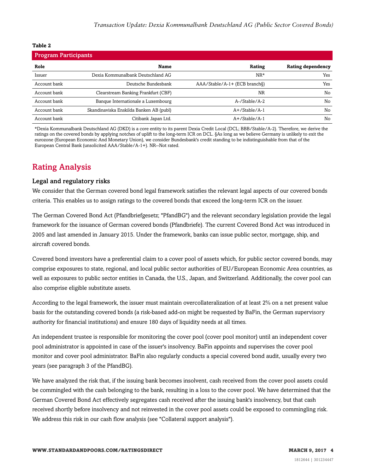#### **Table 2**

| <b>Program Participants</b> |                                         |                               |                          |
|-----------------------------|-----------------------------------------|-------------------------------|--------------------------|
| Role                        | <b>Name</b>                             | Rating                        | <b>Rating dependency</b> |
| Issuer                      | Dexia Kommunalbank Deutschland AG       | $NR*$                         | Yes                      |
| Account bank                | Deutsche Bundesbank                     | AAA/Stable/A-1+ (ECB branch§) | Yes                      |
| Account bank                | Clearstream Banking Frankfurt (CBF)     | <b>NR</b>                     | No                       |
| Account bank                | Banque Internationale a Luxembourg      | A-/Stable/A-2                 | No                       |
| Account bank                | Skandinaviska Enskilda Banken AB (publ) | $A+$ /Stable/A-1              | No                       |
| Account bank                | Citibank Japan Ltd.                     | A+/Stable/A-1                 | No                       |

\*Dexia Kommunalbank Deutschland AG (DKD) is a core entity to its parent Dexia Credit Local (DCL; BBB/Stable/A-2). Therefore, we derive the ratings on the covered bonds by applying notches of uplift to the long-term ICR on DCL. §As long as we believe Germany is unlikely to exit the eurozone (European Economic And Monetary Union), we consider Bundesbank's credit standing to be indistinguishable from that of the European Central Bank (unsolicited AAA/Stable/A-1+). NR--Not rated.

## <span id="page-3-0"></span>Rating Analysis

#### Legal and regulatory risks

We consider that the German covered bond legal framework satisfies the relevant legal aspects of our covered bonds criteria. This enables us to assign ratings to the covered bonds that exceed the long-term ICR on the issuer.

The German Covered Bond Act (Pfandbriefgesetz; "PfandBG") and the relevant secondary legislation provide the legal framework for the issuance of German covered bonds (Pfandbriefe). The current Covered Bond Act was introduced in 2005 and last amended in January 2015. Under the framework, banks can issue public sector, mortgage, ship, and aircraft covered bonds.

Covered bond investors have a preferential claim to a cover pool of assets which, for public sector covered bonds, may comprise exposures to state, regional, and local public sector authorities of EU/European Economic Area countries, as well as exposures to public sector entities in Canada, the U.S., Japan, and Switzerland. Additionally, the cover pool can also comprise eligible substitute assets.

According to the legal framework, the issuer must maintain overcollateralization of at least 2% on a net present value basis for the outstanding covered bonds (a risk-based add-on might be requested by BaFin, the German supervisory authority for financial institutions) and ensure 180 days of liquidity needs at all times.

An independent trustee is responsible for monitoring the cover pool (cover pool monitor) until an independent cover pool administrator is appointed in case of the issuer's insolvency. BaFin appoints and supervises the cover pool monitor and cover pool administrator. BaFin also regularly conducts a special covered bond audit, usually every two years (see paragraph 3 of the PfandBG).

We have analyzed the risk that, if the issuing bank becomes insolvent, cash received from the cover pool assets could be commingled with the cash belonging to the bank, resulting in a loss to the cover pool. We have determined that the German Covered Bond Act effectively segregates cash received after the issuing bank's insolvency, but that cash received shortly before insolvency and not reinvested in the cover pool assets could be exposed to commingling risk. We address this risk in our cash flow analysis (see "Collateral support analysis").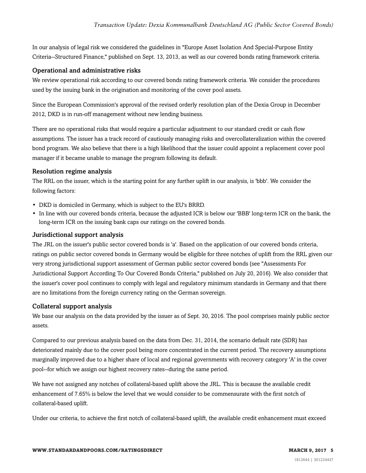In our analysis of legal risk we considered the guidelines in "Europe Asset Isolation And Special-Purpose Entity Criteria--Structured Finance," published on Sept. 13, 2013, as well as our covered bonds rating framework criteria.

#### Operational and administrative risks

We review operational risk according to our covered bonds rating framework criteria. We consider the procedures used by the issuing bank in the origination and monitoring of the cover pool assets.

Since the European Commission's approval of the revised orderly resolution plan of the Dexia Group in December 2012, DKD is in run-off management without new lending business.

There are no operational risks that would require a particular adjustment to our standard credit or cash flow assumptions. The issuer has a track record of cautiously managing risks and overcollateralization within the covered bond program. We also believe that there is a high likelihood that the issuer could appoint a replacement cover pool manager if it became unable to manage the program following its default.

#### Resolution regime analysis

The RRL on the issuer, which is the starting point for any further uplift in our analysis, is 'bbb'. We consider the following factors:

- DKD is domiciled in Germany, which is subject to the EU's BRRD.
- In line with our covered bonds criteria, because the adjusted ICR is below our 'BBB' long-term ICR on the bank, the long-term ICR on the issuing bank caps our ratings on the covered bonds.

#### Jurisdictional support analysis

The JRL on the issuer's public sector covered bonds is 'a'. Based on the application of our covered bonds criteria, ratings on public sector covered bonds in Germany would be eligible for three notches of uplift from the RRL given our very strong jurisdictional support assessment of German public sector covered bonds (see "Assessments For Jurisdictional Support According To Our Covered Bonds Criteria," published on July 20, 2016). We also consider that the issuer's cover pool continues to comply with legal and regulatory minimum standards in Germany and that there are no limitations from the foreign currency rating on the German sovereign.

#### Collateral support analysis

We base our analysis on the data provided by the issuer as of Sept. 30, 2016. The pool comprises mainly public sector assets.

Compared to our previous analysis based on the data from Dec. 31, 2014, the scenario default rate (SDR) has deteriorated mainly due to the cover pool being more concentrated in the current period. The recovery assumptions marginally improved due to a higher share of local and regional governments with recovery category 'A' in the cover pool--for which we assign our highest recovery rates--during the same period.

We have not assigned any notches of collateral-based uplift above the JRL. This is because the available credit enhancement of 7.65% is below the level that we would consider to be commensurate with the first notch of collateral-based uplift.

Under our criteria, to achieve the first notch of collateral-based uplift, the available credit enhancement must exceed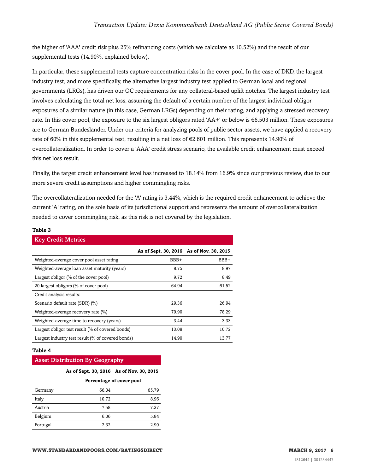the higher of 'AAA' credit risk plus 25% refinancing costs (which we calculate as 10.52%) and the result of our supplemental tests (14.90%, explained below).

In particular, these supplemental tests capture concentration risks in the cover pool. In the case of DKD, the largest industry test, and more specifically, the alternative largest industry test applied to German local and regional governments (LRGs), has driven our OC requirements for any collateral-based uplift notches. The largest industry test involves calculating the total net loss, assuming the default of a certain number of the largest individual obligor exposures of a similar nature (in this case, German LRGs) depending on their rating, and applying a stressed recovery rate. In this cover pool, the exposure to the six largest obligors rated 'AA+' or below is  $\epsilon$ 6.503 million. These exposures are to German Bundesländer. Under our criteria for analyzing pools of public sector assets, we have applied a recovery rate of 60% in this supplemental test, resulting in a net loss of €2.601 million. This represents 14.90% of overcollateralization. In order to cover a 'AAA' credit stress scenario, the available credit enhancement must exceed this net loss result.

Finally, the target credit enhancement level has increased to 18.14% from 16.9% since our previous review, due to our more severe credit assumptions and higher commingling risks.

The overcollateralization needed for the 'A' rating is 3.44%, which is the required credit enhancement to achieve the current 'A' rating, on the sole basis of its jurisdictional support and represents the amount of overcollateralization needed to cover commingling risk, as this risk is not covered by the legislation.

#### **Table 3**

| <b>Key Credit Metrics</b>                         |                                          |       |
|---------------------------------------------------|------------------------------------------|-------|
|                                                   | As of Sept. 30, 2016 As of Nov. 30, 2015 |       |
| Weighted-average cover pool asset rating          | BBB+                                     | BBB+  |
| Weighted-average loan asset maturity (years)      | 8.75                                     | 8.97  |
| Largest obligor $(\%$ of the cover pool)          | 9.72                                     | 8.49  |
| 20 largest obligors (% of cover pool)             | 64.94                                    | 61.52 |
| Credit analysis results:                          |                                          |       |
| Scenario default rate (SDR) (%)                   | 29.36                                    | 26.94 |
| Weighted-average recovery rate (%)                | 79.90                                    | 78.29 |
| Weighted-average time to recovery (years)         | 3.44                                     | 3.33  |
| Largest obligor test result (% of covered bonds)  | 13.08                                    | 10.72 |
| Largest industry test result (% of covered bonds) | 14.90                                    | 13.77 |

#### **Table 4**

#### Asset Distribution By Geography

|          | As of Sept. 30, 2016 As of Nov. 30, 2015 |                          |  |  |
|----------|------------------------------------------|--------------------------|--|--|
|          |                                          | Percentage of cover pool |  |  |
| Germany  | 66.04                                    | 65.79                    |  |  |
| Italy    | 10.72                                    | 8.96                     |  |  |
| Austria  | 7.58                                     | 7.37                     |  |  |
| Belgium  | 6.06                                     | 5.84                     |  |  |
| Portugal | 2.32                                     | 2.90                     |  |  |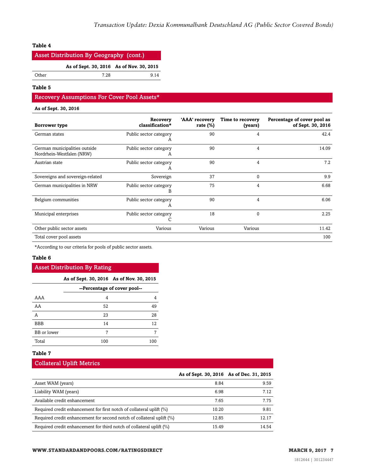#### **Table 4**

| <b>Asset Distribution By Geography (cont.)</b> |                                          |       |  |
|------------------------------------------------|------------------------------------------|-------|--|
|                                                | As of Sept. 30, 2016 As of Nov. 30, 2015 |       |  |
| Other                                          | 7 28                                     | 9 1 4 |  |

**Table 5**

#### Recovery Assumptions For Cover Pool Assets\*

#### **As of Sept. 30, 2016**

| Borrower type                                              | Recovery<br>classification* | 'AAA' recovery<br>rate $(\%)$ | Time to recovery<br>(years) | Percentage of cover pool as<br>of Sept. 30, 2016 |
|------------------------------------------------------------|-----------------------------|-------------------------------|-----------------------------|--------------------------------------------------|
| German states                                              | Public sector category<br>А | 90                            | 4                           | 42.4                                             |
| German municipalities outside<br>Nordrhein-Westfalen (NRW) | Public sector category<br>A | 90                            | 4                           | 14.09                                            |
| Austrian state                                             | Public sector category<br>A | 90                            | 4                           | 7.2                                              |
| Sovereigns and sovereign-related                           | Sovereign                   | 37                            | 0                           | 9.9                                              |
| German municipalities in NRW                               | Public sector category<br>B | 75                            | 4                           | 6.68                                             |
| Belgium communities                                        | Public sector category<br>A | 90                            | 4                           | 6.06                                             |
| Municipal enterprises                                      | Public sector category      | 18                            | $\theta$                    | 2.25                                             |
| Other public sector assets                                 | Various                     | Various                       | Various                     | 11.42                                            |
| Total cover pool assets                                    |                             |                               |                             | 100                                              |

\*According to our criteria for pools of public sector assets.

#### **Table 6**

#### Asset Distribution By Rating

|  | As of Sept. 30, 2016 As of Nov. 30, 2015 |  |
|--|------------------------------------------|--|
|  |                                          |  |

|             | --Percentage of cover pool-- |     |
|-------------|------------------------------|-----|
| AAA         | 4                            |     |
| AA          | 52                           | 49  |
| А           | 23                           | 28  |
| <b>BBB</b>  | 14                           | 12  |
| BB or lower | 7                            |     |
| Total       | 100                          | 100 |

#### **Table 7**

#### Collateral Uplift Metrics

|                                                                       | As of Sept. 30, 2016 As of Dec. 31, 2015 |       |
|-----------------------------------------------------------------------|------------------------------------------|-------|
| Asset WAM (years)                                                     | 8.84                                     | 9.59  |
| Liability WAM (years)                                                 | 6.98                                     | 7.12  |
| Available credit enhancement                                          | 7.65                                     | 7.75  |
| Required credit enhancement for first notch of collateral uplift (%)  | 10.20                                    | 9.81  |
| Required credit enhancement for second notch of collateral uplift (%) | 12.85                                    | 12.17 |
| Required credit enhancement for third notch of collateral uplift (%)  | 15.49                                    | 14.54 |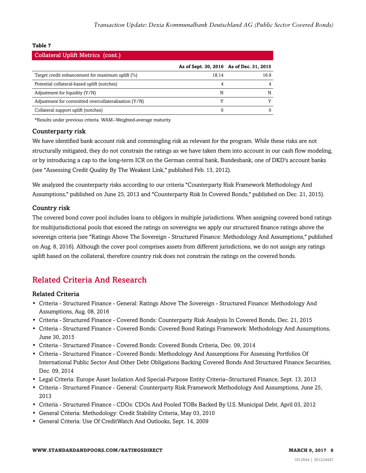#### **Table 7**

| <b>Collateral Uplift Metrics (cont.)</b>             |                                          |      |
|------------------------------------------------------|------------------------------------------|------|
|                                                      | As of Sept. 30, 2016 As of Dec. 31, 2015 |      |
| Target credit enhancement for maximum uplift (%)     | 18.14                                    | 16.9 |
| Potential collateral-based uplift (notches)          | 4                                        |      |
| Adjustment for liquidity $(Y/N)$                     | N                                        |      |
| Adjustment for committed overcollateralization (Y/N) |                                          |      |
| Collateral support uplift (notches)                  |                                          |      |

\*Results under previous criteria. WAM--Weighted-average maturity.

#### Counterparty risk

We have identified bank account risk and commingling risk as relevant for the program. While these risks are not structurally mitigated, they do not constrain the ratings as we have taken them into account in our cash flow modeling, or by introducing a cap to the long-term ICR on the German central bank, Bundesbank, one of DKD's account banks (see "Assessing Credit Quality By The Weakest Link," published Feb. 13, 2012).

We analyzed the counterparty risks according to our criteria "Counterparty Risk Framework Methodology And Assumptions," published on June 25, 2013 and "Counterparty Risk In Covered Bonds," published on Dec. 21, 2015).

#### Country risk

The covered bond cover pool includes loans to obligors in multiple jurisdictions. When assigning covered bond ratings for multijurisdictional pools that exceed the ratings on sovereigns we apply our structured finance ratings above the sovereign criteria (see "Ratings Above The Sovereign - Structured Finance: Methodology And Assumptions," published on Aug. 8, 2016). Although the cover pool comprises assets from different jurisdictions, we do not assign any ratings uplift based on the collateral, therefore country risk does not constrain the ratings on the covered bonds.

### <span id="page-7-0"></span>Related Criteria And Research

#### Related Criteria

- Criteria Structured Finance General: Ratings Above The Sovereign Structured Finance: Methodology And Assumptions, Aug. 08, 2016
- Criteria Structured Finance Covered Bonds: Counterparty Risk Analysis In Covered Bonds, Dec. 21, 2015
- Criteria Structured Finance Covered Bonds: Covered Bond Ratings Framework: Methodology And Assumptions, June 30, 2015
- Criteria Structured Finance Covered Bonds: Covered Bonds Criteria, Dec. 09, 2014
- Criteria Structured Finance Covered Bonds: Methodology And Assumptions For Assessing Portfolios Of International Public Sector And Other Debt Obligations Backing Covered Bonds And Structured Finance Securities, Dec. 09, 2014
- Legal Criteria: Europe Asset Isolation And Special-Purpose Entity Criteria--Structured Finance, Sept. 13, 2013
- Criteria Structured Finance General: Counterparty Risk Framework Methodology And Assumptions, June 25, 2013
- Criteria Structured Finance CDOs: CDOs And Pooled TOBs Backed By U.S. Municipal Debt, April 03, 2012
- General Criteria: Methodology: Credit Stability Criteria, May 03, 2010
- General Criteria: Use Of CreditWatch And Outlooks, Sept. 14, 2009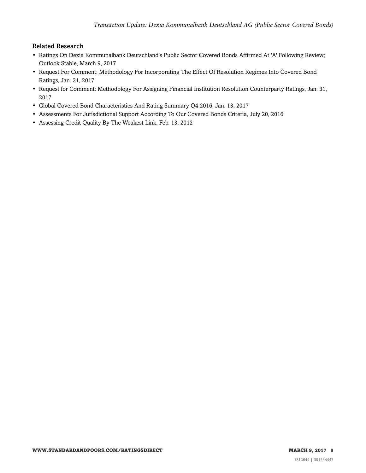#### Related Research

- Ratings On Dexia Kommunalbank Deutschland's Public Sector Covered Bonds Affirmed At 'A' Following Review; Outlook Stable, March 9, 2017
- Request For Comment: Methodology For Incorporating The Effect Of Resolution Regimes Into Covered Bond Ratings, Jan. 31, 2017
- Request for Comment: Methodology For Assigning Financial Institution Resolution Counterparty Ratings, Jan. 31, 2017
- Global Covered Bond Characteristics And Rating Summary Q4 2016, Jan. 13, 2017
- Assessments For Jurisdictional Support According To Our Covered Bonds Criteria, July 20, 2016
- Assessing Credit Quality By The Weakest Link, Feb. 13, 2012